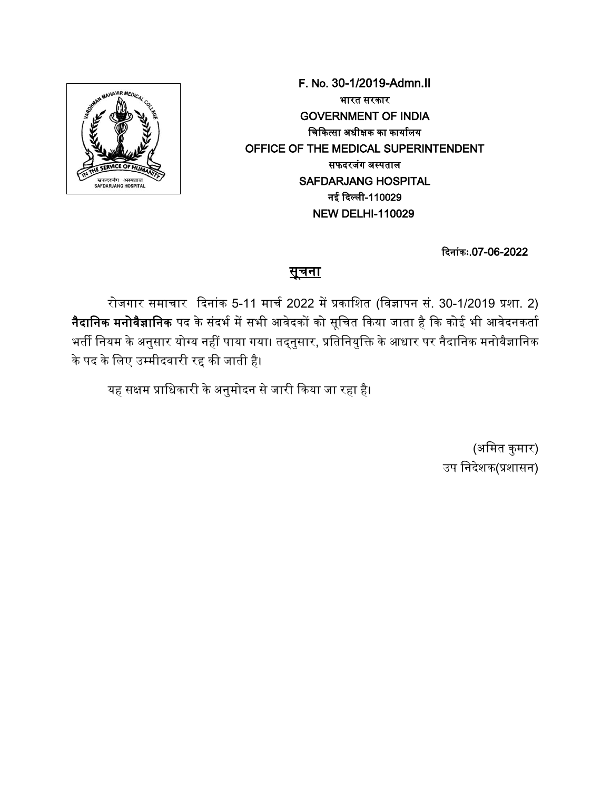

F. No. 30-1/2019-Admn.II भारत सरकार GOVERNMENT OF INDIA चिकित्सा अधीक्षक का कार्यालय OFFICE OF THE MEDICAL SUPERINTENDENT सफदरजंग अस्पताल SAFDARJANG HOSPITAL नई दिल्ली-110029 NEW DELHI-110029

कदनांकः.07-06-2022

## <u>सूचना</u>

रोजगार समाचार दिनांक 5-11 मार्च 2022 में प्रकाशित (विज्ञापन सं. 30-1/2019 प्रशा. 2) <mark>नैदानिक मनोवैज्ञानिक</mark> पद के संदर्भ में सभी आवेदकों को सूचित किया जाता है कि कोई भी आवेदनकर्ता भर्ती नियम के अनुसार योग्य नहीं पाया गया। तद्नुसार, प्रतिनियुक्ति के आधार पर नैदानिक मनोवैज्ञानिक के पद के लिए उम्मीदवारी रद्द की जाती है।

यह सक्षम प्राधिकारी के अनुमोदन से जारी किया जा रहा है।

(अमित कुमार) उप निदेशक(प्रशासन)